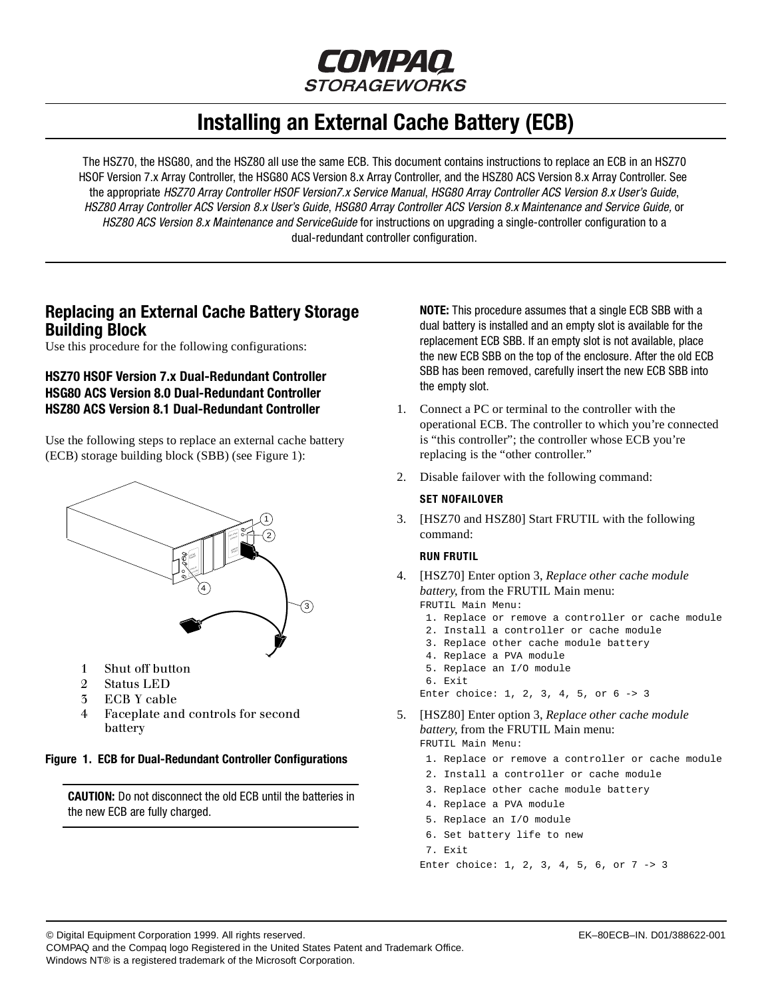

# **Installing an External Cache Battery (ECB)**

<span id="page-0-0"></span>The HSZ70, the HSG80, and the HSZ80 all use the same ECB. This document contains instructions to replace an ECB in an HSZ70 HSOF Version 7.x Array Controller, the HSG80 ACS Version 8.x Array Controller, and the HSZ80 ACS Version 8.x Array Controller. See the appropriate HSZ70 Array Controller HSOF Version7.x Service Manual, HSG80 Array Controller ACS Version 8.x User's Guide, HSZ80 Array Controller ACS Version 8.x User's Guide, HSG80 Array Controller ACS Version 8.x Maintenance and Service Guide, or HSZ80 ACS Version 8.x Maintenance and ServiceGuide for instructions on upgrading a single-controller configuration to a dual-redundant controller configuration.

# **Replacing an External Cache Battery Storage Building Block**

Use this procedure for the following configurations:

# **HSZ70 HSOF Version 7.x Dual-Redundant Controller HSG80 ACS Version 8.0 Dual-Redundant Controller HSZ80 ACS Version 8.1 Dual-Redundant Controller**

Use the following steps to replace an external cache battery (ECB) storage building block (SBB) (see Figure 1):



- 1 Shut off button
- 2 Status LED
- 3 ECB Y cable
- 4 Faceplate and controls for second battery

#### **Figure 1. ECB for Dual-Redundant Controller Configurations**

**CAUTION:** Do not disconnect the old ECB until the batteries in the new ECB are fully charged.

**NOTE:** This procedure assumes that a single ECB SBB with a dual battery is installed and an empty slot is available for the replacement ECB SBB. If an empty slot is not available, place the new ECB SBB on the top of the enclosure. After the old ECB SBB has been removed, carefully insert the new ECB SBB into the empty slot.

- 1. Connect a PC or terminal to the controller with the operational ECB. The controller to which you're connected is "this controller"; the controller whose ECB you're replacing is the "other controller."
- 2. Disable failover with the following command:

#### **SET NOFAILOVER**

3. [HSZ70 and HSZ80] Start FRUTIL with the following command:

#### **RUN FRUTIL**

- 4. [HSZ70] Enter option 3, *Replace other cache module battery*, from the FRUTIL Main menu:
	- FRUTIL Main Menu: 1. Replace or remove a controller or cache module 2. Install a controller or cache module
	- 3. Replace other cache module battery
	- 4. Replace a PVA module
	- 5. Replace an I/O module
	- 6. Exit

Enter choice: 1, 2, 3, 4, 5, or 6 -> 3

- 5. [HSZ80] Enter option 3, *Replace other cache module battery*, from the FRUTIL Main menu: FRUTIL Main Menu:
	- 1. Replace or remove a controller or cache module
	- 2. Install a controller or cache module
	- 3. Replace other cache module battery
	- 4. Replace a PVA module
	- 5. Replace an I/O module
	- 6. Set battery life to new

Enter choice: 1, 2, 3, 4, 5, 6, or 7 -> 3

© Digital Equipment Corporation 1999. All rights reserved. EK–80ECB–IN. D01/388622-001

COMPAQ and the Compaq logo Registered in the United States Patent and Trademark Office.

Windows NT® is a registered trademark of the Microsoft Corporation.

 <sup>7.</sup> Exit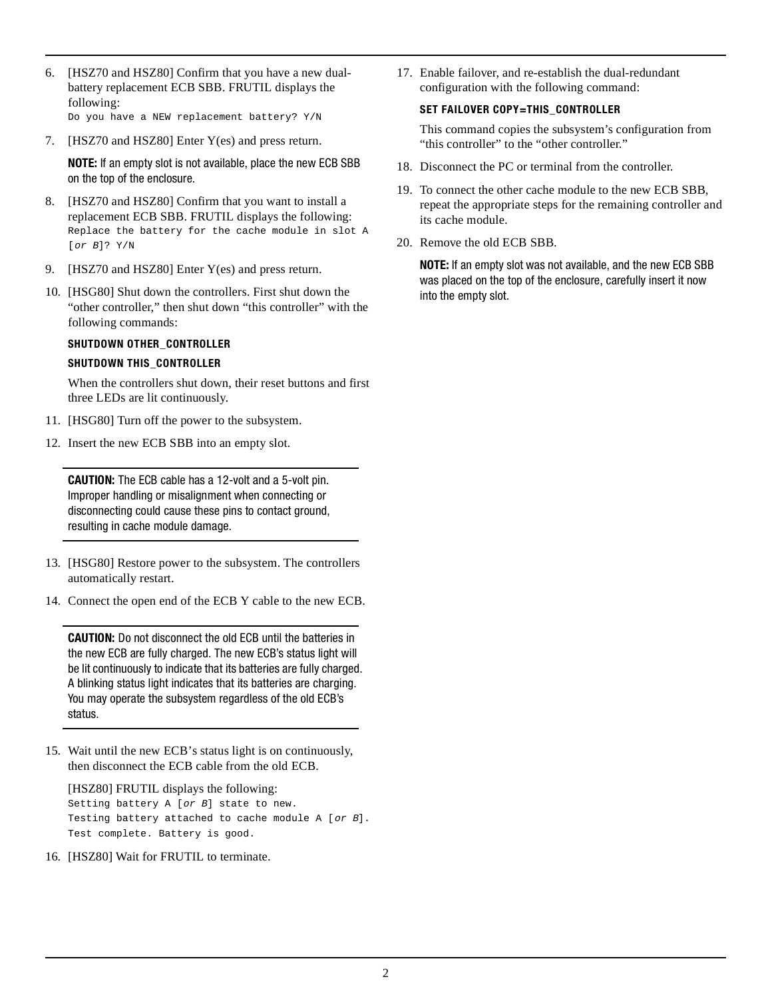- 6. [HSZ70 and HSZ80] Confirm that you have a new dualbattery replacement ECB SBB. FRUTIL displays the following: Do you have a NEW replacement battery? Y/N
- 7. [HSZ70 and HSZ80] Enter Y(es) and press return.

**NOTE:** If an empty slot is not available, place the new ECB SBB on the top of the enclosure.

- 8. [HSZ70 and HSZ80] Confirm that you want to install a replacement ECB SBB. FRUTIL displays the following: Replace the battery for the cache module in slot A [or B]? Y/N
- 9. [HSZ70 and HSZ80] Enter Y(es) and press return.
- 10. [HSG80] Shut down the controllers. First shut down the "other controller," then shut down "this controller" with the following commands:

#### **SHUTDOWN OTHER\_CONTROLLER**

#### **SHUTDOWN THIS\_CONTROLLER**

When the controllers shut down, their reset buttons and first three LEDs are lit continuously.

- 11. [HSG80] Turn off the power to the subsystem.
- 12. Insert the new ECB SBB into an empty slot.

**CAUTION:** The ECB cable has a 12-volt and a 5-volt pin. Improper handling or misalignment when connecting or disconnecting could cause these pins to contact ground, resulting in cache module damage.

- 13. [HSG80] Restore power to the subsystem. The controllers automatically restart.
- 14. Connect the open end of the ECB Y cable to the new ECB.

**CAUTION:** Do not disconnect the old ECB until the batteries in the new ECB are fully charged. The new ECB's status light will be lit continuously to indicate that its batteries are fully charged. A blinking status light indicates that its batteries are charging. You may operate the subsystem regardless of the old ECB's status.

15. Wait until the new ECB's status light is on continuously, then disconnect the ECB cable from the old ECB.

[HSZ80] FRUTIL displays the following: Setting battery A [or B] state to new. Testing battery attached to cache module A [or B]. Test complete. Battery is good.

16. [HSZ80] Wait for FRUTIL to terminate.

17. Enable failover, and re-establish the dual-redundant configuration with the following command:

#### **SET FAILOVER COPY=THIS\_CONTROLLER**

This command copies the subsystem's configuration from "this controller" to the "other controller."

- 18. Disconnect the PC or terminal from the controller.
- 19. To connect the other cache module to the new ECB SBB, repeat the appropriate steps for the remaining controller and its cache module.
- 20. Remove the old ECB SBB.

**NOTE:** If an empty slot was not available, and the new ECB SBB was placed on the top of the enclosure, carefully insert it now into the empty slot.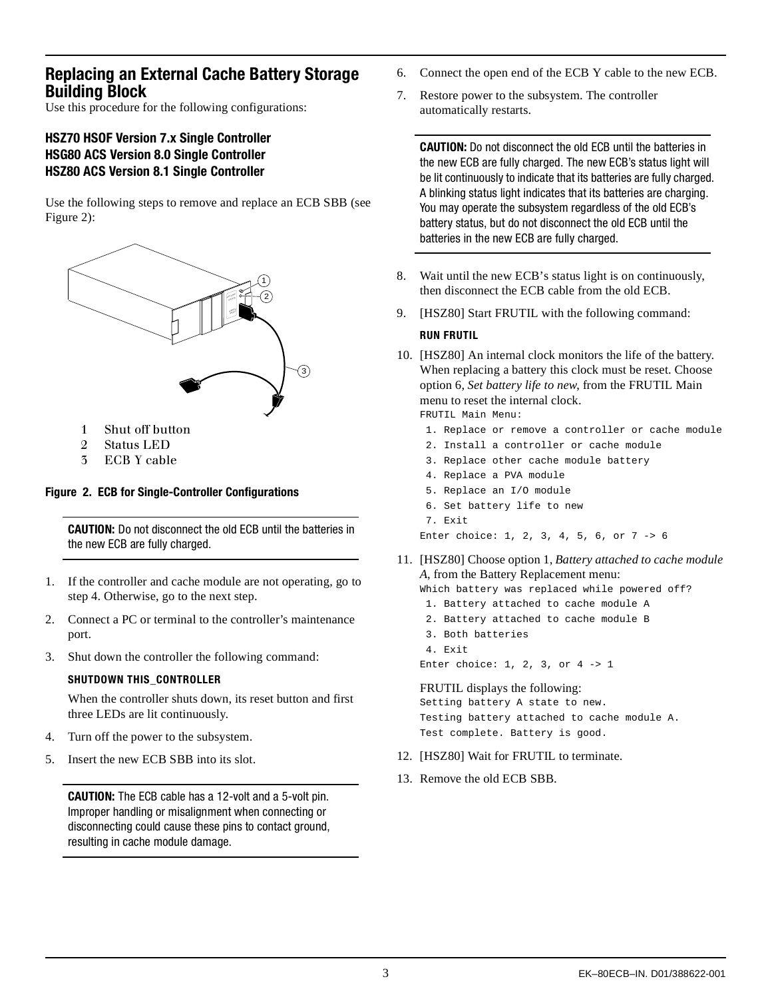# <span id="page-2-0"></span>**Replacing an External Cache Battery Storage Building Block**

Use this procedure for the following configurations:

# **HSZ70 HSOF Version 7.x Single Controller HSG80 ACS Version 8.0 Single Controller HSZ80 ACS Version 8.1 Single Controller**

Use the following steps to remove and replace an ECB SBB (see Figure 2):



- 1 Shut off button
- 2 Status LED
- 3 ECB Y cable

## **Figure 2. ECB for Single-Controller Configurations**

**CAUTION:** Do not disconnect the old ECB until the batteries in the new ECB are fully charged.

- 1. If the controller and cache module are not operating, go to step 4. Otherwise, go to the next step.
- 2. Connect a PC or terminal to the controller's maintenance port.
- 3. Shut down the controller the following command:

#### **SHUTDOWN THIS\_CONTROLLER**

When the controller shuts down, its reset button and first three LEDs are lit continuously.

- 4. Turn off the power to the subsystem.
- 5. Insert the new ECB SBB into its slot.

**CAUTION:** The ECB cable has a 12-volt and a 5-volt pin. Improper handling or misalignment when connecting or disconnecting could cause these pins to contact ground, resulting in cache module damage.

- 6. Connect the open end of the ECB Y cable to the new ECB.
- 7. Restore power to the subsystem. The controller automatically restarts.

**CAUTION:** Do not disconnect the old ECB until the batteries in the new ECB are fully charged. The new ECB's status light will be lit continuously to indicate that its batteries are fully charged. A blinking status light indicates that its batteries are charging. You may operate the subsystem regardless of the old ECB's battery status, but do not disconnect the old ECB until the batteries in the new ECB are fully charged.

- 8. Wait until the new ECB's status light is on continuously, then disconnect the ECB cable from the old ECB.
- 9. [HSZ80] Start FRUTIL with the following command:

#### **RUN FRUTIL**

10. [HSZ80] An internal clock monitors the life of the battery. When replacing a battery this clock must be reset. Choose option 6, *Set battery life to new*, from the FRUTIL Main menu to reset the internal clock.

FRUTIL Main Menu:

- 1. Replace or remove a controller or cache module
- 2. Install a controller or cache module
- 3. Replace other cache module battery
- 4. Replace a PVA module
- 5. Replace an I/O module
- 6. Set battery life to new

Enter choice: 1, 2, 3, 4, 5, 6, or 7 -> 6

11. [HSZ80] Choose option 1, *Battery attached to cache module A*, from the Battery Replacement menu:

Which battery was replaced while powered off?

- 1. Battery attached to cache module A
- 2. Battery attached to cache module B
- 3. Both batteries
- 4. Exit

Enter choice: 1, 2, 3, or 4 -> 1

#### FRUTIL displays the following:

Setting battery A state to new. Testing battery attached to cache module A. Test complete. Battery is good.

- 12. [HSZ80] Wait for FRUTIL to terminate.
- 13. Remove the old ECB SBB.

 <sup>7.</sup> Exit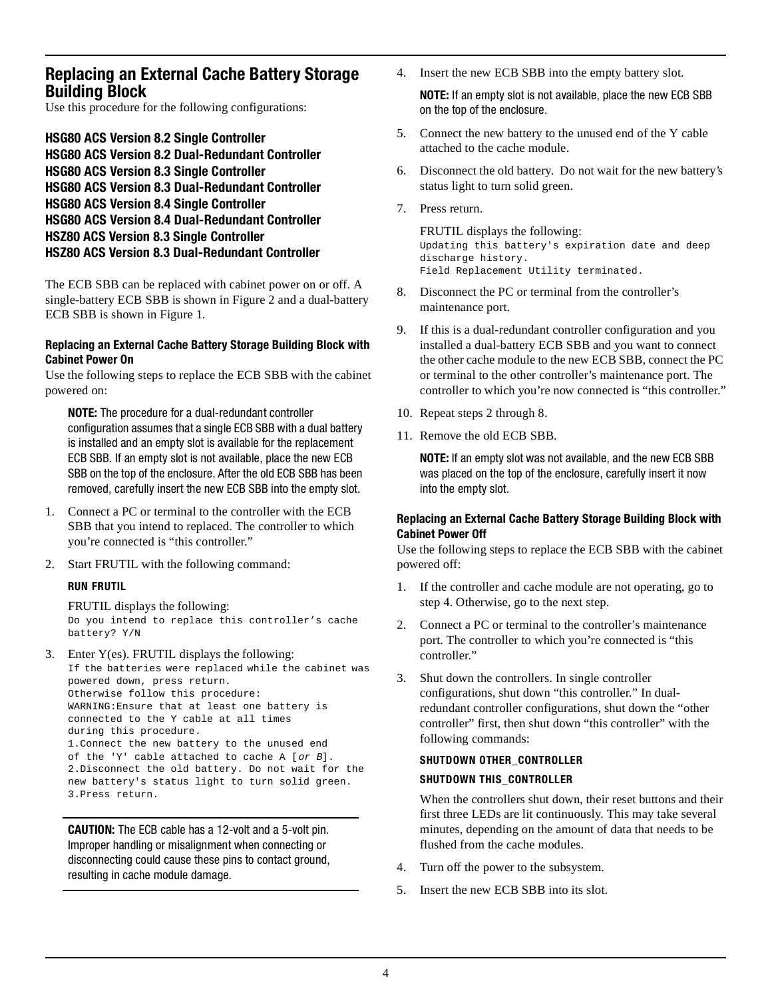# **Replacing an External Cache Battery Storage Building Block**

Use this procedure for the following configurations:

**HSG80 ACS Version 8.2 Single Controller HSG80 ACS Version 8.2 Dual-Redundant Controller HSG80 ACS Version 8.3 Single Controller HSG80 ACS Version 8.3 Dual-Redundant Controller HSG80 ACS Version 8.4 Single Controller HSG80 ACS Version 8.4 Dual-Redundant Controller HSZ80 ACS Version 8.3 Single Controller HSZ80 ACS Version 8.3 Dual-Redundant Controller**

The ECB SBB can be replaced with cabinet power on or off. A single-battery ECB SBB is shown in [Figure 2](#page-2-0) and a dual-battery ECB SBB is shown in [Figure 1](#page-0-0).

### **Replacing an External Cache Battery Storage Building Block with Cabinet Power On**

Use the following steps to replace the ECB SBB with the cabinet powered on:

**NOTE:** The procedure for a dual-redundant controller configuration assumes that a single ECB SBB with a dual battery is installed and an empty slot is available for the replacement ECB SBB. If an empty slot is not available, place the new ECB SBB on the top of the enclosure. After the old ECB SBB has been removed, carefully insert the new ECB SBB into the empty slot.

- 1. Connect a PC or terminal to the controller with the ECB SBB that you intend to replaced. The controller to which you're connected is "this controller."
- 2. Start FRUTIL with the following command:

## **RUN FRUTIL**

FRUTIL displays the following: Do you intend to replace this controller's cache battery? Y/N

3. Enter Y(es). FRUTIL displays the following: If the batteries were replaced while the cabinet was powered down, press return. Otherwise follow this procedure: WARNING:Ensure that at least one battery is connected to the Y cable at all times during this procedure. 1.Connect the new battery to the unused end of the 'Y' cable attached to cache A [or B]. 2.Disconnect the old battery. Do not wait for the new battery's status light to turn solid green. 3.Press return.

**CAUTION:** The ECB cable has a 12-volt and a 5-volt pin. Improper handling or misalignment when connecting or disconnecting could cause these pins to contact ground, resulting in cache module damage.

4. Insert the new ECB SBB into the empty battery slot.

**NOTE:** If an empty slot is not available, place the new ECB SBB on the top of the enclosure.

- 5. Connect the new battery to the unused end of the Y cable attached to the cache module.
- 6. Disconnect the old battery. Do not wait for the new battery's status light to turn solid green.
- 7. Press return.

FRUTIL displays the following: Updating this battery's expiration date and deep discharge history. Field Replacement Utility terminated.

- 8. Disconnect the PC or terminal from the controller's maintenance port.
- 9. If this is a dual-redundant controller configuration and you installed a dual-battery ECB SBB and you want to connect the other cache module to the new ECB SBB, connect the PC or terminal to the other controller's maintenance port. The controller to which you're now connected is "this controller."
- 10. Repeat steps 2 through 8.
- 11. Remove the old ECB SBB.

**NOTE:** If an empty slot was not available, and the new ECB SBB was placed on the top of the enclosure, carefully insert it now into the empty slot.

#### **Replacing an External Cache Battery Storage Building Block with Cabinet Power Off**

Use the following steps to replace the ECB SBB with the cabinet powered off:

- 1. If the controller and cache module are not operating, go to step 4. Otherwise, go to the next step.
- 2. Connect a PC or terminal to the controller's maintenance port. The controller to which you're connected is "this controller."
- 3. Shut down the controllers. In single controller configurations, shut down "this controller." In dualredundant controller configurations, shut down the "other controller" first, then shut down "this controller" with the following commands:

# **SHUTDOWN OTHER\_CONTROLLER**

## **SHUTDOWN THIS\_CONTROLLER**

When the controllers shut down, their reset buttons and their first three LEDs are lit continuously. This may take several minutes, depending on the amount of data that needs to be flushed from the cache modules.

- 4. Turn off the power to the subsystem.
- 5. Insert the new ECB SBB into its slot.